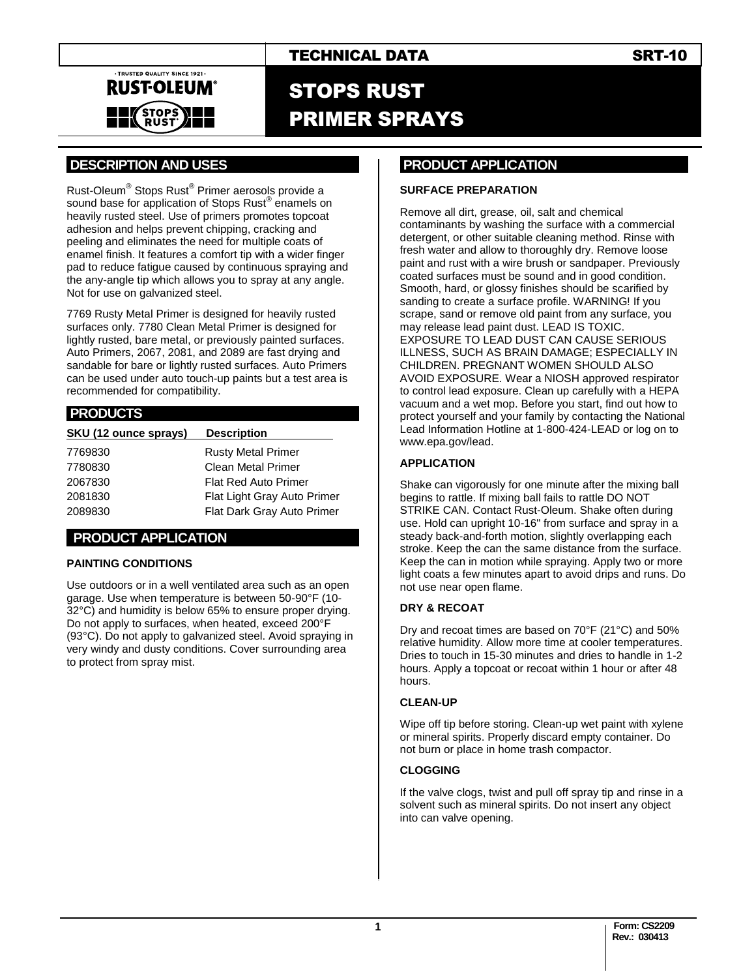

# STOPS RUST PRIMER SPRAYS

# **.DESCRIPTION AND USES .**

Rust-Oleum® Stops Rust® Primer aerosols provide a sound base for application of Stops Rust® enamels on heavily rusted steel. Use of primers promotes topcoat adhesion and helps prevent chipping, cracking and peeling and eliminates the need for multiple coats of enamel finish. It features a comfort tip with a wider finger pad to reduce fatigue caused by continuous spraying and the any-angle tip which allows you to spray at any angle. Not for use on galvanized steel.

7769 Rusty Metal Primer is designed for heavily rusted surfaces only. 7780 Clean Metal Primer is designed for lightly rusted, bare metal, or previously painted surfaces. Auto Primers, 2067, 2081, and 2089 are fast drying and sandable for bare or lightly rusted surfaces. Auto Primers can be used under auto touch-up paints but a test area is recommended for compatibility.

#### **.PRODUCTS .**

| SKU (12 ounce sprays) | <b>Description</b>          |
|-----------------------|-----------------------------|
| 7769830               | <b>Rusty Metal Primer</b>   |
| 7780830               | Clean Metal Primer          |
| 2067830               | <b>Flat Red Auto Primer</b> |
| 2081830               | Flat Light Gray Auto Primer |
| 2089830               | Flat Dark Gray Auto Primer  |

#### **..PRODUCT APPLICATION .**

#### **PAINTING CONDITIONS**

Use outdoors or in a well ventilated area such as an open garage. Use when temperature is between 50-90°F (10- 32°C) and humidity is below 65% to ensure proper drying. Do not apply to surfaces, when heated, exceed 200°F (93°C). Do not apply to galvanized steel. Avoid spraying in very windy and dusty conditions. Cover surrounding area to protect from spray mist.

### **PRODUCT APPLICATION .**

#### **SURFACE PREPARATION**

Remove all dirt, grease, oil, salt and chemical contaminants by washing the surface with a commercial detergent, or other suitable cleaning method. Rinse with fresh water and allow to thoroughly dry. Remove loose paint and rust with a wire brush or sandpaper. Previously coated surfaces must be sound and in good condition. Smooth, hard, or glossy finishes should be scarified by sanding to create a surface profile. WARNING! If you scrape, sand or remove old paint from any surface, you may release lead paint dust. LEAD IS TOXIC. EXPOSURE TO LEAD DUST CAN CAUSE SERIOUS ILLNESS, SUCH AS BRAIN DAMAGE; ESPECIALLY IN CHILDREN. PREGNANT WOMEN SHOULD ALSO AVOID EXPOSURE. Wear a NIOSH approved respirator to control lead exposure. Clean up carefully with a HEPA vacuum and a wet mop. Before you start, find out how to protect yourself and your family by contacting the National Lead Information Hotline at 1-800-424-LEAD or log on to www.epa.gov/lead.

#### **APPLICATION**

Shake can vigorously for one minute after the mixing ball begins to rattle. If mixing ball fails to rattle DO NOT STRIKE CAN. Contact Rust-Oleum. Shake often during use. Hold can upright 10-16" from surface and spray in a steady back-and-forth motion, slightly overlapping each stroke. Keep the can the same distance from the surface. Keep the can in motion while spraying. Apply two or more light coats a few minutes apart to avoid drips and runs. Do not use near open flame.

#### **DRY & RECOAT**

Dry and recoat times are based on 70°F (21°C) and 50% relative humidity. Allow more time at cooler temperatures. Dries to touch in 15-30 minutes and dries to handle in 1-2 hours. Apply a topcoat or recoat within 1 hour or after 48 hours.

#### **CLEAN-UP**

Wipe off tip before storing. Clean-up wet paint with xylene or mineral spirits. Properly discard empty container. Do not burn or place in home trash compactor.

#### **CLOGGING**

If the valve clogs, twist and pull off spray tip and rinse in a solvent such as mineral spirits. Do not insert any object into can valve opening.